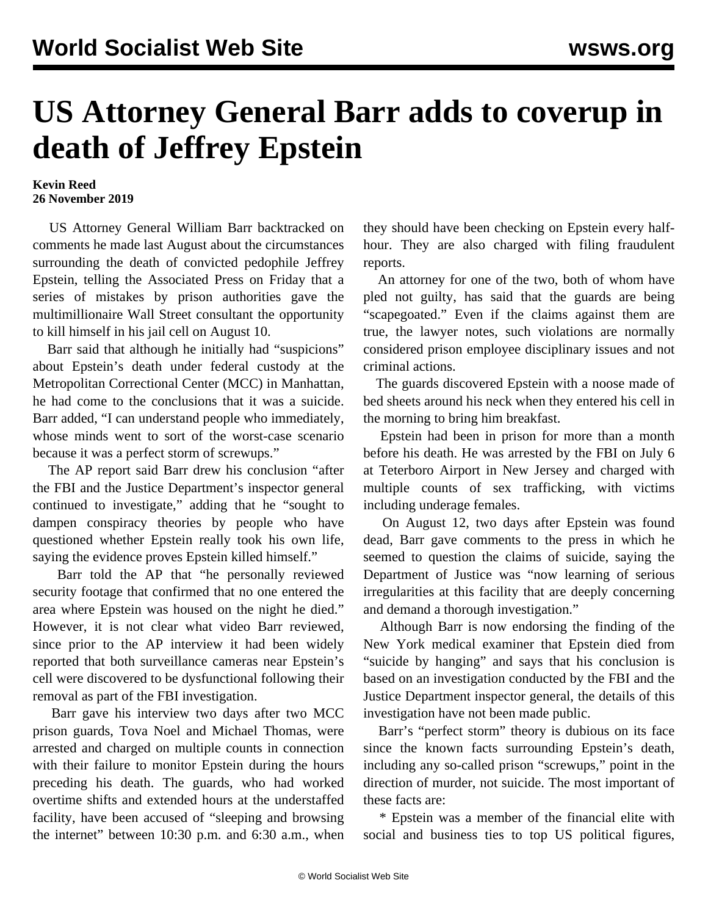## **US Attorney General Barr adds to coverup in death of Jeffrey Epstein**

## **Kevin Reed 26 November 2019**

 US Attorney General William Barr backtracked on comments he made last August about the circumstances surrounding the death of convicted pedophile Jeffrey Epstein, telling the Associated Press on Friday that a series of mistakes by prison authorities gave the multimillionaire Wall Street consultant the opportunity to kill himself in his jail cell on August 10.

 Barr said that although he initially had "suspicions" about Epstein's death under federal custody at the Metropolitan Correctional Center (MCC) in Manhattan, he had come to the conclusions that it was a suicide. Barr added, "I can understand people who immediately, whose minds went to sort of the worst-case scenario because it was a perfect storm of screwups."

 The AP report said Barr drew his conclusion "after the FBI and the Justice Department's inspector general continued to investigate," adding that he "sought to dampen conspiracy theories by people who have questioned whether Epstein really took his own life, saying the evidence proves Epstein killed himself."

 Barr told the AP that "he personally reviewed security footage that confirmed that no one entered the area where Epstein was housed on the night he died." However, it is not clear what video Barr reviewed, since prior to the AP interview it had been widely reported that both surveillance cameras near Epstein's cell were discovered to be dysfunctional following their removal as part of the FBI investigation.

 Barr gave his interview two days after two MCC prison guards, Tova Noel and Michael Thomas, were arrested and charged on multiple counts in connection with their failure to monitor Epstein during the hours preceding his death. The guards, who had worked overtime shifts and extended hours at the understaffed facility, have been accused of "sleeping and browsing the internet" between 10:30 p.m. and 6:30 a.m., when

they should have been checking on Epstein every halfhour. They are also charged with filing fraudulent reports.

 An attorney for one of the two, both of whom have pled not guilty, has said that the guards are being "scapegoated." Even if the claims against them are true, the lawyer notes, such violations are normally considered prison employee disciplinary issues and not criminal actions.

 The guards discovered Epstein with a noose made of bed sheets around his neck when they entered his cell in the morning to bring him breakfast.

 Epstein had been in prison for more than a month before his death. He was arrested by the FBI on July 6 at Teterboro Airport in New Jersey and charged with multiple counts of sex trafficking, with victims including underage females.

 On August 12, two days after Epstein was found dead, Barr gave comments to the press in which he seemed to question the claims of suicide, saying the Department of Justice was "now learning of serious irregularities at this facility that are deeply concerning and demand a thorough investigation."

 Although Barr is now endorsing the finding of the New York medical examiner that Epstein died from "suicide by hanging" and says that his conclusion is based on an investigation conducted by the FBI and the Justice Department inspector general, the details of this investigation have not been made public.

 Barr's "perfect storm" theory is dubious on its face since the known facts surrounding Epstein's death, including any so-called prison "screwups," point in the direction of murder, not suicide. The most important of these facts are:

 \* Epstein was a member of the financial elite with social and business ties to top US political figures,